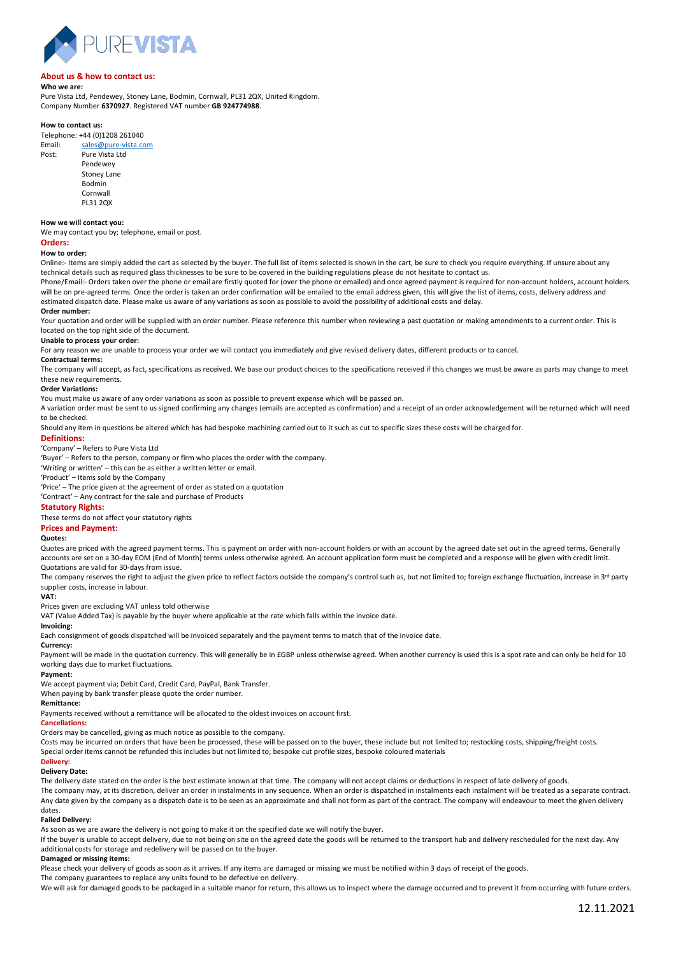

# **About us & how to contact us:**

# **Who we are:**

Pure Vista Ltd, Pendewey, Stoney Lane, Bodmin, Cornwall, PL31 2QX, United Kingdom. Company Number **6370927**. Registered VAT number **GB 924774988**.

## **How to contact us:**

Telephone: +44 (0)1208 261040 Email: [sales@pure-vista.com](mailto:sales@pure-vista.com) Post: Pure Vista Ltd **Pendewey** Stoney Lane Bodmin Cornwall PL31 2QX

#### **How we will contact you:**

We may contact you by; telephone, email or post.

# **Orders:**

## **How to order:**

Online:- Items are simply added the cart as selected by the buyer. The full list of items selected is shown in the cart, be sure to check you require everything. If unsure about any technical details such as required glass thicknesses to be sure to be covered in the building regulations please do not hesitate to contact us.

Phone/Email:- Orders taken over the phone or email are firstly quoted for (over the phone or emailed) and once agreed payment is required for non-account holders, account holders will be on pre-agreed terms. Once the order is taken an order confirmation will be emailed to the email address given, this will give the list of items, costs, delivery address and estimated dispatch date. Please make us aware of any variations as soon as possible to avoid the possibility of additional costs and delay.

## **Order number:**

Your quotation and order will be supplied with an order number. Please reference this number when reviewing a past quotation or making amendments to a current order. This is located on the top right side of the document.

## **Unable to process your order:**

For any reason we are unable to process your order we will contact you immediately and give revised delivery dates, different products or to cancel.

# **Contractual terms:**

The company will accept, as fact, specifications as received. We base our product choices to the specifications received if this changes we must be aware as parts may change to meet these new requirements.

#### **Order Variations:**

You must make us aware of any order variations as soon as possible to prevent expense which will be passed on.

#### A variation order must be sent to us signed confirming any changes (emails are accepted as confirmation) and a receipt of an order acknowledgement will be returned which will need to be checked.

Should any item in questions be altered which has had bespoke machining carried out to it such as cut to specific sizes these costs will be charged for.

## **Definitions:**

'Company' – Refers to Pure Vista Ltd

'Buyer' – Refers to the person, company or firm who places the order with the company.

'Writing or written' – this can be as either a written letter or email.

'Product' – Items sold by the Company

'Price' – The price given at the agreement of order as stated on a quotation

'Contract' – Any contract for the sale and purchase of Products

# **Statutory Rights:**

These terms do not affect your statutory rights

# **Prices and Payment:**

# **Quotes:**

Quotes are priced with the agreed payment terms. This is payment on order with non-account holders or with an account by the agreed date set out in the agreed terms. Generally accounts are set on a 30-day EOM (End of Month) terms unless otherwise agreed. An account application form must be completed and a response will be given with credit limit. Quotations are valid for 30-days from issue.

The company reserves the right to adjust the given price to reflect factors outside the company's control such as, but not limited to; foreign exchange fluctuation, increase in 3<sup>rd</sup> party

supplier costs, increase in labour.

## **VAT:**

Prices given are excluding VAT unless told otherwise

VAT (Value Added Tax) is payable by the buyer where applicable at the rate which falls within the invoice date.

# **Invoicing:**

Each consignment of goods dispatched will be invoiced separately and the payment terms to match that of the invoice date.

# **Currency:**

Payment will be made in the quotation currency. This will generally be in £GBP unless otherwise agreed. When another currency is used this is a spot rate and can only be held for 10 working days due to market fluctuations.

# **Payment:**

We accept payment via; Debit Card, Credit Card, PayPal, Bank Transfer.

# When paying by bank transfer please quote the order number.

**Remittance:**

Payments received without a remittance will be allocated to the oldest invoices on account first.

# **Cancellations:**

Orders may be cancelled, giving as much notice as possible to the company.

Costs may be incurred on orders that have been be processed, these will be passed on to the buyer, these include but not limited to; restocking costs, shipping/freight costs. Special order items cannot be refunded this includes but not limited to; bespoke cut profile sizes, bespoke coloured materials

## **Delivery: Delivery Date:**

The delivery date stated on the order is the best estimate known at that time. The company will not accept claims or deductions in respect of late delivery of goods.

The company may, at its discretion, deliver an order in instalments in any sequence. When an order is dispatched in instalments each instalment will be treated as a separate contract. Any date given by the company as a dispatch date is to be seen as an approximate and shall not form as part of the contract. The company will endeavour to meet the given delivery dates.

#### **Failed Delivery:**

As soon as we are aware the delivery is not going to make it on the specified date we will notify the buyer.

If the buyer is unable to accept delivery, due to not being on site on the agreed date the goods will be returned to the transport hub and delivery rescheduled for the next day. Any additional costs for storage and redelivery will be passed on to the buyer.

# **Damaged or missing items:**

Please check your delivery of goods as soon as it arrives. If any items are damaged or missing we must be notified within 3 days of receipt of the goods.

The company guarantees to replace any units found to be defective on delivery.

We will ask for damaged goods to be packaged in a suitable manor for return, this allows us to inspect where the damage occurred and to prevent it from occurring with future orders.